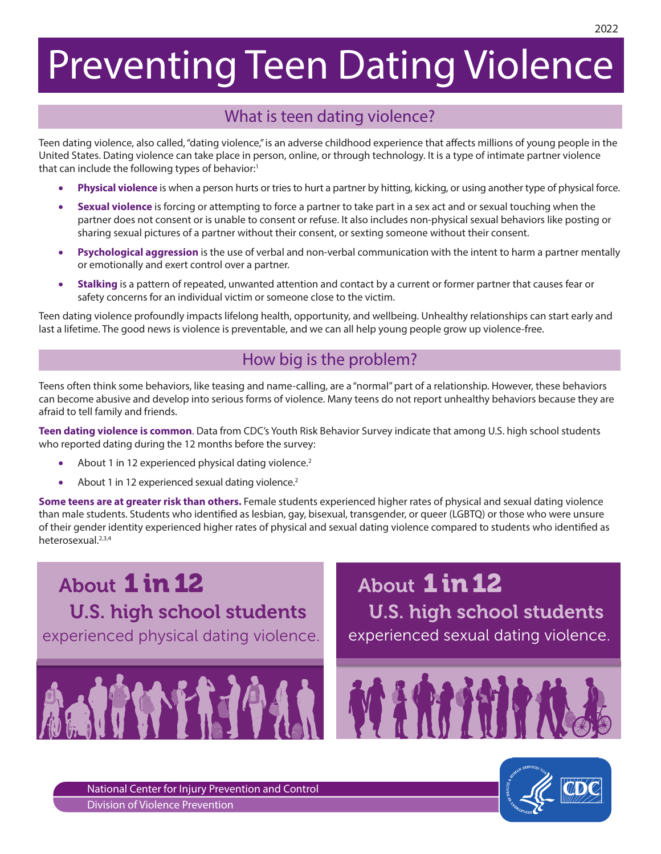# Preventing Teen Dating Violence

# What is teen dating violence?

Teen dating violence, also called, "dating violence," is an adverse childhood experience that affects millions of young people in the United States. Dating violence can take place in person, online, or through technology. It is a type of intimate partner violence that can include the following types of behavior:<sup>1</sup>

- Physical violence is when a person hurts or tries to hurt a partner by hitting, kicking, or using another type of physical force.
- **Sexual violence** is forcing or attempting to force a partner to take part in a sex act and or sexual touching when the partner does not consent or is unable to consent or refuse. It also includes non-physical sexual behaviors like posting or sharing sexual pictures of a partner without their consent, or sexting someone without their consent.
- **Psychological aggression** is the use of verbal and non-verbal communication with the intent to harm a partner mentally or emotionally and exert control over a partner.
- **Stalking** is a pattern of repeated, unwanted attention and contact by a current or former partner that causes fear or safety concerns for an individual victim or someone close to the victim.

Teen dating violence profoundly impacts lifelong health, opportunity, and wellbeing. Unhealthy relationships can start early and last a lifetime. The good news is violence is preventable, and we can all help young people grow up violence-free.

# How big is the problem?

Teens often think some behaviors, like teasing and name-calling, are a "normal" part of a relationship. However, these behaviors can become abusive and develop into serious forms of violence. Many teens do not report unhealthy behaviors because they are afraid to tell family and friends.

**Teen dating violence is common**. Data from CDC's Youth Risk Behavior Survey indicate that among U.S. high school students who reported dating during the 12 months before the survey:

- About 1 in 12 experienced physical dating violence.<sup>2</sup>
- About 1 in 12 experienced sexual dating violence.<sup>2</sup>

**Some teens are at greater risk than others.** Female students experienced higher rates of physical and sexual dating violence than male students. Students who identified as lesbian, gay, bisexual, transgender, or queer (LGBTQ) or those who were unsure than male students. Students who identified as lesbian, gay, bisexual, transgender, or queer (LG of their gender identity experienced higher rates of physical and sexual dating violence compared to students who identified as heterosexual.2,3,4

experienced physical dating violence. About 1in 12 U.S. high school students

experienced sexual dating violence. About 1 in 12 U.S. high school students